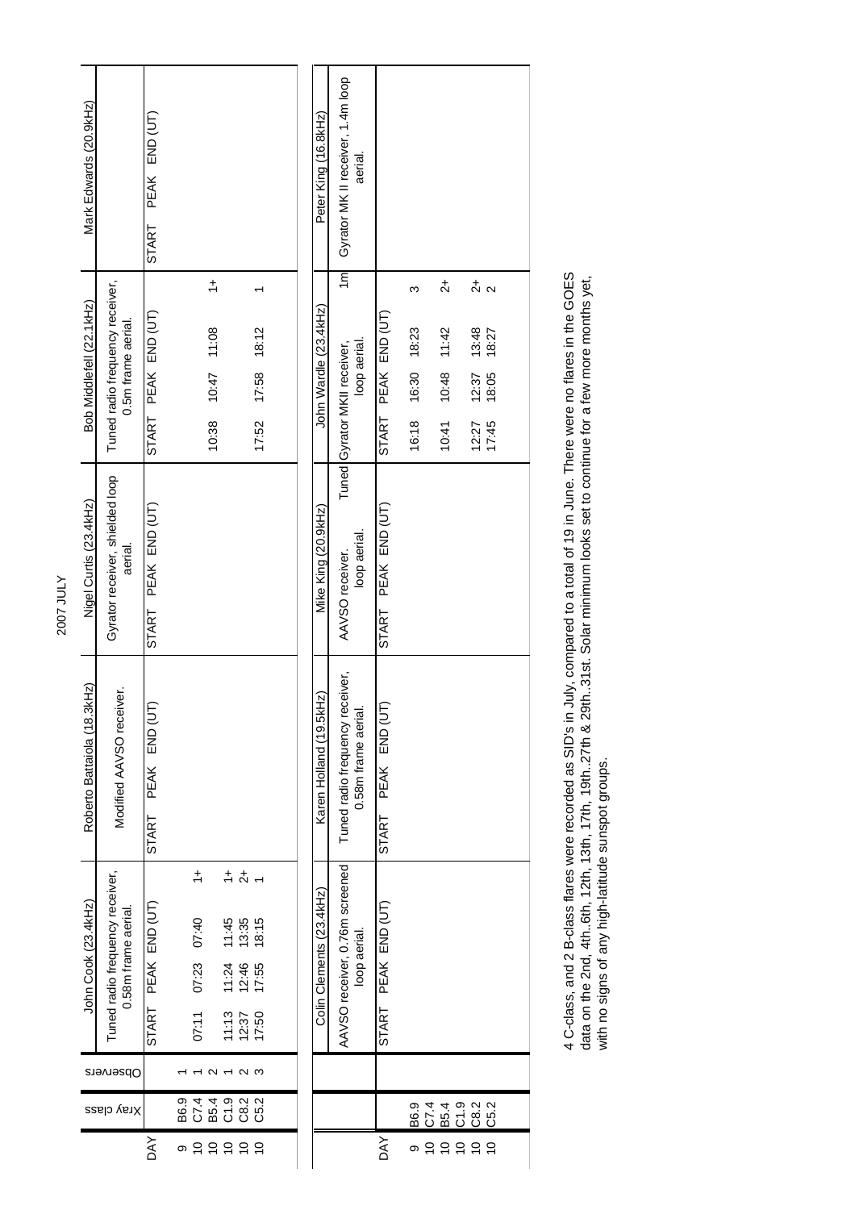| Mark Edwards (20.9kHz)      |                                                        | START PEAK END (UT)    |      |                                   |                                 |                                        |                                  |                   |  | Peter King (16.8kHz)     | Gyrator MK II receiver, 1.4m loop              | aerial.            |                               |                        |                                       |                                                                       |                 |  |
|-----------------------------|--------------------------------------------------------|------------------------|------|-----------------------------------|---------------------------------|----------------------------------------|----------------------------------|-------------------|--|--------------------------|------------------------------------------------|--------------------|-------------------------------|------------------------|---------------------------------------|-----------------------------------------------------------------------|-----------------|--|
| Bob Middlefell (22.1kHz)    | Tuned radio frequency receiver,<br>0.5m frame aerial.  | START PEAK END (UT)    |      |                                   | $\div$<br>$10:11$ 7.08<br>10:38 |                                        |                                  | 17:52 17:58 18:12 |  | John Wardle (23.4kHz)    | $\overline{m}$<br>Tuned Gyrator MKII receiver, | loop aerial.       | PEAK END (UT)<br>START        | ო<br>16:18 16:30 18:23 | $\vec{c}$<br>$10:48$ $11:42$<br>10:41 | $\stackrel{+}{\sim}$<br>13:48<br>12:37<br>18:05<br>$12.27$<br>$17.45$ | $\sim$<br>18:27 |  |
| Nigel Curtis (23.4kHz)      | Gyrator receiver, shielded loop<br>aerial.             | START PEAK END (UT)    |      |                                   |                                 |                                        |                                  |                   |  | Mike King (20.9kHz)      | AAVSO receiver.                                | loop aerial.       | PEAK END (UT)<br>START        |                        |                                       |                                                                       |                 |  |
| Roberto Battaiola (18.3kHz) | Modified AAVSO receiver.                               | PEAK END (UT)<br>START |      |                                   |                                 |                                        |                                  |                   |  | Karen Holland (19.5kHz)  | Tuned radio frequency receiver,                | 0.58m frame aerial | END (UT<br>PEAK<br>START      |                        |                                       |                                                                       |                 |  |
| John Cook (23.4kHz)         | Tuned radio frequency receiver,<br>0.58m frame aerial. | START PEAK END (UT)    |      | $\div$<br>07:40<br>07:23<br>07:11 |                                 | $rac{1}{2}$<br>11:45<br>11:24<br>11:13 | 13:35<br>12:46<br>17:55<br>12:37 | 18:15<br>17:50    |  | Colin Clements (23.4kHz) | AAVSO receiver, 0.76m screened                 | loop aerial.       | PEAK END (UT)<br><b>START</b> |                        |                                       |                                                                       |                 |  |
| Observers                   |                                                        |                        |      |                                   | c                               |                                        | $\sim$                           | S                 |  |                          |                                                |                    |                               |                        |                                       |                                                                       |                 |  |
| Xray class                  |                                                        |                        | B6.9 | C74                               | B5.4                            | 0.iO                                   | C8.2<br>C5.2                     |                   |  |                          |                                                |                    |                               | B6.9                   | C7.4<br><b>B5.4</b>                   | 0.9<br>C82                                                            | C5.2            |  |
|                             |                                                        | DАY                    | Θ    | P P P P P                         |                                 |                                        |                                  |                   |  |                          |                                                |                    | DΑY                           | ω                      | $\overline{C}$                        | 2222                                                                  |                 |  |

4 C-class, and 2 B-class flares were recorded as SID's in July, compared to a total of 19 in June. There were no flares in the GOES<br>data on the 2nd, 4th..6th, 12th, 13th, 17th, 19th..27th & 29th..31st. Solar minimum looks 4 C-class, and 2 B-class flares were recorded as SID's in July, compared to a total of 19 in June. There were no flares in the GOES data on the 2nd, 4th..6th, 12th, 13th, 17th, 19th..27th & 29th..31st. Solar minimum looks set to continue for a few more months yet, with no signs of any high-latitude sunspot groups.

2007 JULY